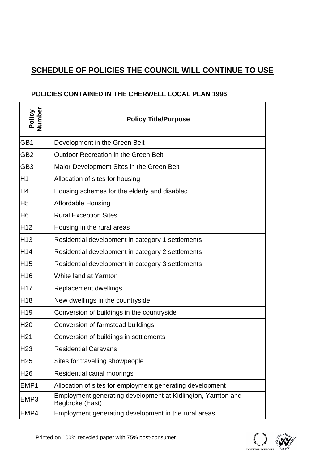## **SCHEDULE OF POLICIES THE COUNCIL WILL CONTINUE TO USE**

## **POLICIES CONTAINED IN THE CHERWELL LOCAL PLAN 1996**

 $\mathsf{r}$ 

| Policy<br>Number | <b>Policy Title/Purpose</b>                                                     |
|------------------|---------------------------------------------------------------------------------|
| GB1              | Development in the Green Belt                                                   |
| GB <sub>2</sub>  | Outdoor Recreation in the Green Belt                                            |
| GB <sub>3</sub>  | Major Development Sites in the Green Belt                                       |
| H <sub>1</sub>   | Allocation of sites for housing                                                 |
| H <sub>4</sub>   | Housing schemes for the elderly and disabled                                    |
| H <sub>5</sub>   | <b>Affordable Housing</b>                                                       |
| H <sub>6</sub>   | <b>Rural Exception Sites</b>                                                    |
| H <sub>12</sub>  | Housing in the rural areas                                                      |
| <b>H13</b>       | Residential development in category 1 settlements                               |
| <b>H14</b>       | Residential development in category 2 settlements                               |
| H <sub>15</sub>  | Residential development in category 3 settlements                               |
| H <sub>16</sub>  | White land at Yarnton                                                           |
| <b>H17</b>       | Replacement dwellings                                                           |
| H <sub>18</sub>  | New dwellings in the countryside                                                |
| H <sub>19</sub>  | Conversion of buildings in the countryside                                      |
| H <sub>20</sub>  | Conversion of farmstead buildings                                               |
| H <sub>21</sub>  | Conversion of buildings in settlements                                          |
| H <sub>23</sub>  | <b>Residential Caravans</b>                                                     |
| H <sub>25</sub>  | Sites for travelling showpeople                                                 |
| H26              | Residential canal moorings                                                      |
| EMP1             | Allocation of sites for employment generating development                       |
| EMP <sub>3</sub> | Employment generating development at Kidlington, Yarnton and<br>Begbroke (East) |
| EMP4             | Employment generating development in the rural areas                            |

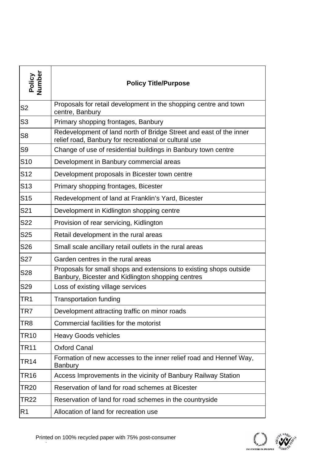| Policy<br>Number | <b>Policy Title/Purpose</b>                                                                                                 |
|------------------|-----------------------------------------------------------------------------------------------------------------------------|
| S <sub>2</sub>   | Proposals for retail development in the shopping centre and town<br>centre, Banbury                                         |
| S <sub>3</sub>   | Primary shopping frontages, Banbury                                                                                         |
| S <sub>8</sub>   | Redevelopment of land north of Bridge Street and east of the inner<br>relief road, Banbury for recreational or cultural use |
| S <sub>9</sub>   | Change of use of residential buildings in Banbury town centre                                                               |
| S <sub>10</sub>  | Development in Banbury commercial areas                                                                                     |
| S <sub>12</sub>  | Development proposals in Bicester town centre                                                                               |
| S <sub>13</sub>  | Primary shopping frontages, Bicester                                                                                        |
| S <sub>15</sub>  | Redevelopment of land at Franklin's Yard, Bicester                                                                          |
| S <sub>21</sub>  | Development in Kidlington shopping centre                                                                                   |
| S22              | Provision of rear servicing, Kidlington                                                                                     |
| S <sub>25</sub>  | Retail development in the rural areas                                                                                       |
| S <sub>26</sub>  | Small scale ancillary retail outlets in the rural areas                                                                     |
| S <sub>27</sub>  | Garden centres in the rural areas                                                                                           |
| S28              | Proposals for small shops and extensions to existing shops outside<br>Banbury, Bicester and Kidlington shopping centres     |
| S29              | Loss of existing village services                                                                                           |
| TR1              | <b>Transportation funding</b>                                                                                               |
| TR7              | Development attracting traffic on minor roads                                                                               |
| TR8              | Commercial facilities for the motorist                                                                                      |
| <b>TR10</b>      | <b>Heavy Goods vehicles</b>                                                                                                 |
| TR11             | <b>Oxford Canal</b>                                                                                                         |
| <b>TR14</b>      | Formation of new accesses to the inner relief road and Hennef Way,<br><b>Banbury</b>                                        |
| <b>TR16</b>      | Access Improvements in the vicinity of Banbury Railway Station                                                              |
| TR20             | Reservation of land for road schemes at Bicester                                                                            |
| TR22             | Reservation of land for road schemes in the countryside                                                                     |
| R <sub>1</sub>   | Allocation of land for recreation use                                                                                       |

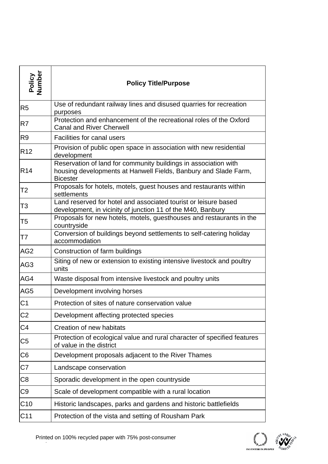| Policy<br>Number | <b>Policy Title/Purpose</b>                                                                                                                           |
|------------------|-------------------------------------------------------------------------------------------------------------------------------------------------------|
| R <sub>5</sub>   | Use of redundant railway lines and disused quarries for recreation<br>purposes                                                                        |
| R7               | Protection and enhancement of the recreational roles of the Oxford<br><b>Canal and River Cherwell</b>                                                 |
| R <sub>9</sub>   | Facilities for canal users                                                                                                                            |
| R <sub>12</sub>  | Provision of public open space in association with new residential<br>development                                                                     |
| <b>R14</b>       | Reservation of land for community buildings in association with<br>housing developments at Hanwell Fields, Banbury and Slade Farm,<br><b>Bicester</b> |
| T <sub>2</sub>   | Proposals for hotels, motels, guest houses and restaurants within<br>settlements                                                                      |
| T <sub>3</sub>   | Land reserved for hotel and associated tourist or leisure based<br>development, in vicinity of junction 11 of the M40, Banbury                        |
| T <sub>5</sub>   | Proposals for new hotels, motels, guesthouses and restaurants in the<br>countryside                                                                   |
| T7               | Conversion of buildings beyond settlements to self-catering holiday<br>accommodation                                                                  |
| AG <sub>2</sub>  | Construction of farm buildings                                                                                                                        |
| AG <sub>3</sub>  | Siting of new or extension to existing intensive livestock and poultry<br>units                                                                       |
| AG4              | Waste disposal from intensive livestock and poultry units                                                                                             |
| AG <sub>5</sub>  | Development involving horses                                                                                                                          |
| C <sub>1</sub>   | Protection of sites of nature conservation value                                                                                                      |
| C <sub>2</sub>   | Development affecting protected species                                                                                                               |
| C <sub>4</sub>   | Creation of new habitats                                                                                                                              |
| C <sub>5</sub>   | Protection of ecological value and rural character of specified features<br>of value in the district                                                  |
| C <sub>6</sub>   | Development proposals adjacent to the River Thames                                                                                                    |
| C7               | Landscape conservation                                                                                                                                |
| C <sub>8</sub>   | Sporadic development in the open countryside                                                                                                          |
| C <sub>9</sub>   | Scale of development compatible with a rural location                                                                                                 |
| C10              | Historic landscapes, parks and gardens and historic battlefields                                                                                      |
| C <sub>11</sub>  | Protection of the vista and setting of Rousham Park                                                                                                   |
|                  |                                                                                                                                                       |

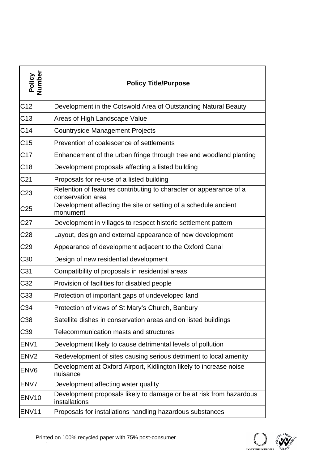| Policy<br>Number  | <b>Policy Title/Purpose</b>                                                             |
|-------------------|-----------------------------------------------------------------------------------------|
| C <sub>12</sub>   | Development in the Cotswold Area of Outstanding Natural Beauty                          |
| C <sub>13</sub>   | Areas of High Landscape Value                                                           |
| C <sub>14</sub>   | <b>Countryside Management Projects</b>                                                  |
| C <sub>15</sub>   | Prevention of coalescence of settlements                                                |
| C <sub>17</sub>   | Enhancement of the urban fringe through tree and woodland planting                      |
| C <sub>18</sub>   | Development proposals affecting a listed building                                       |
| C <sub>21</sub>   | Proposals for re-use of a listed building                                               |
| C <sub>23</sub>   | Retention of features contributing to character or appearance of a<br>conservation area |
| C <sub>25</sub>   | Development affecting the site or setting of a schedule ancient<br>monument             |
| C <sub>27</sub>   | Development in villages to respect historic settlement pattern                          |
| C <sub>28</sub>   | Layout, design and external appearance of new development                               |
| C <sub>29</sub>   | Appearance of development adjacent to the Oxford Canal                                  |
| C <sub>30</sub>   | Design of new residential development                                                   |
| C <sub>31</sub>   | Compatibility of proposals in residential areas                                         |
| C32               | Provision of facilities for disabled people                                             |
| C33               | Protection of important gaps of undeveloped land                                        |
| C34               | Protection of views of St Mary's Church, Banbury                                        |
| C <sub>38</sub>   | Satellite dishes in conservation areas and on listed buildings                          |
| C <sub>39</sub>   | Telecommunication masts and structures                                                  |
| ENV <sub>1</sub>  | Development likely to cause detrimental levels of pollution                             |
| EN <sub>V2</sub>  | Redevelopment of sites causing serious detriment to local amenity                       |
| ENV <sub>6</sub>  | Development at Oxford Airport, Kidlington likely to increase noise<br>nuisance          |
| ENV7              | Development affecting water quality                                                     |
| ENV <sub>10</sub> | Development proposals likely to damage or be at risk from hazardous<br>installations    |
| ENV <sub>11</sub> | Proposals for installations handling hazardous substances                               |